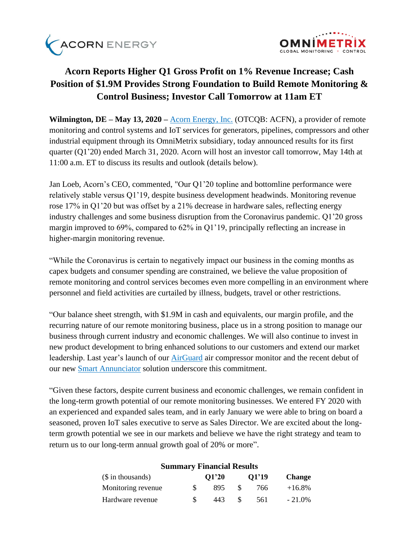



# **Acorn Reports Higher Q1 Gross Profit on 1% Revenue Increase; Cash Position of \$1.9M Provides Strong Foundation to Build Remote Monitoring & Control Business; Investor Call Tomorrow at 11am ET**

**Wilmington, DE – May 13, 2020 –** [Acorn Energy, Inc.](http://acornenergy.com/) (OTCQB: ACFN), a provider of remote monitoring and control systems and IoT services for generators, pipelines, compressors and other industrial equipment through its OmniMetrix subsidiary, today announced results for its first quarter (Q1'20) ended March 31, 2020. Acorn will host an investor call tomorrow, May 14th at 11:00 a.m. ET to discuss its results and outlook (details below).

Jan Loeb, Acorn's CEO, commented, "Our Q1'20 topline and bottomline performance were relatively stable versus Q1'19, despite business development headwinds. Monitoring revenue rose 17% in Q1'20 but was offset by a 21% decrease in hardware sales, reflecting energy industry challenges and some business disruption from the Coronavirus pandemic. Q1'20 gross margin improved to 69%, compared to 62% in Q1'19, principally reflecting an increase in higher-margin monitoring revenue.

"While the Coronavirus is certain to negatively impact our business in the coming months as capex budgets and consumer spending are constrained, we believe the value proposition of remote monitoring and control services becomes even more compelling in an environment where personnel and field activities are curtailed by illness, budgets, travel or other restrictions.

"Our balance sheet strength, with \$1.9M in cash and equivalents, our margin profile, and the recurring nature of our remote monitoring business, place us in a strong position to manage our business through current industry and economic challenges. We will also continue to invest in new product development to bring enhanced solutions to our customers and extend our market leadership. Last year's launch of our [AirGuard](https://www.omnimetrix.net/wp-content/uploads/2018/10/AIRGuard-Spec-Sheet.pdf) air compressor monitor and the recent debut of our new [Smart Annunciator](https://www.omnimetrix.net/wp-content/uploads/2020/03/Smart-Annunciator-Spec-Sheet-2020-Final2.pdf) solution underscore this commitment.

"Given these factors, despite current business and economic challenges, we remain confident in the long-term growth potential of our remote monitoring businesses. We entered FY 2020 with an experienced and expanded sales team, and in early January we were able to bring on board a seasoned, proven IoT sales executive to serve as Sales Director. We are excited about the longterm growth potential we see in our markets and believe we have the right strategy and team to return us to our long-term annual growth goal of 20% or more".

| $($$ in thousands) | O1'20 | 01'19 | <b>Change</b> |  |
|--------------------|-------|-------|---------------|--|
| Monitoring revenue | 895   | 766   | $+16.8\%$     |  |
| Hardware revenue   | 443   | 561   | $-21.0\%$     |  |

# **Summary Financial Results**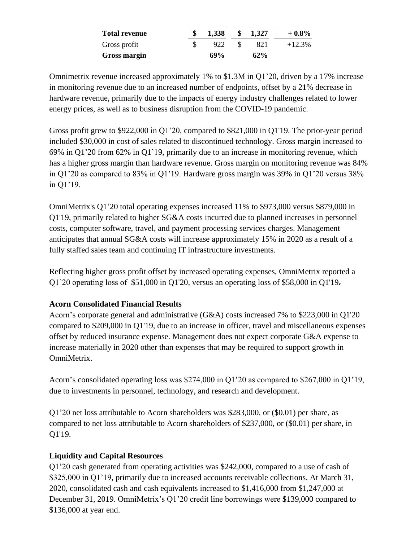| <b>Total revenue</b> | 1,338 | $\mathbf{s}$ | 1.327  | $+0.8\%$  |
|----------------------|-------|--------------|--------|-----------|
| Gross profit         | 922   |              | 821    | $+12.3\%$ |
| <b>Gross margin</b>  | 69%   |              | $62\%$ |           |

Omnimetrix revenue increased approximately 1% to \$1.3M in Q1'20, driven by a 17% increase in monitoring revenue due to an increased number of endpoints, offset by a 21% decrease in hardware revenue, primarily due to the impacts of energy industry challenges related to lower energy prices, as well as to business disruption from the COVID-19 pandemic.

Gross profit grew to \$922,000 in Q1'20, compared to \$821,000 in Q1'19. The prior-year period included \$30,000 in cost of sales related to discontinued technology. Gross margin increased to 69% in Q1'20 from 62% in Q1'19, primarily due to an increase in monitoring revenue, which has a higher gross margin than hardware revenue. Gross margin on monitoring revenue was 84% in Q1'20 as compared to 83% in Q1'19. Hardware gross margin was 39% in Q1'20 versus 38% in Q1'19.

OmniMetrix's Q1'20 total operating expenses increased 11% to \$973,000 versus \$879,000 in Q1'19, primarily related to higher SG&A costs incurred due to planned increases in personnel costs, computer software, travel, and payment processing services charges. Management anticipates that annual SG&A costs will increase approximately 15% in 2020 as a result of a fully staffed sales team and continuing IT infrastructure investments.

Reflecting higher gross profit offset by increased operating expenses, OmniMetrix reported a Q1'20 operating loss of \$51,000 in Q1'20, versus an operating loss of \$58,000 in Q1'19.

# **Acorn Consolidated Financial Results**

Acorn's corporate general and administrative (G&A) costs increased 7% to \$223,000 in Q1'20 compared to \$209,000 in Q1'19, due to an increase in officer, travel and miscellaneous expenses offset by reduced insurance expense. Management does not expect corporate G&A expense to increase materially in 2020 other than expenses that may be required to support growth in OmniMetrix.

Acorn's consolidated operating loss was \$274,000 in Q1'20 as compared to \$267,000 in Q1'19, due to investments in personnel, technology, and research and development.

Q1'20 net loss attributable to Acorn shareholders was \$283,000, or (\$0.01) per share, as compared to net loss attributable to Acorn shareholders of \$237,000, or (\$0.01) per share, in Q1'19.

# **Liquidity and Capital Resources**

Q1'20 cash generated from operating activities was \$242,000, compared to a use of cash of \$325,000 in Q1'19, primarily due to increased accounts receivable collections. At March 31, 2020, consolidated cash and cash equivalents increased to \$1,416,000 from \$1,247,000 at December 31, 2019. OmniMetrix's Q1'20 credit line borrowings were \$139,000 compared to \$136,000 at year end.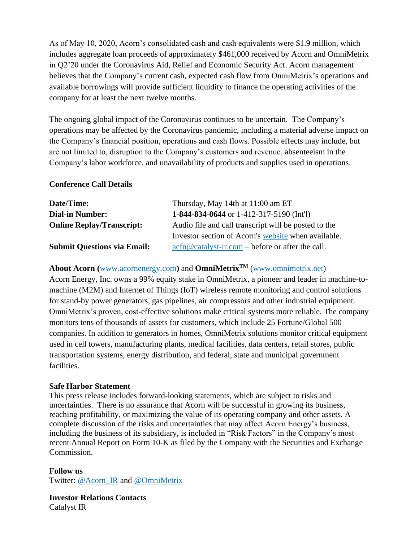As of May 10, 2020, Acorn's consolidated cash and cash equivalents were \$1.9 million, which includes aggregate loan proceeds of approximately \$461,000 received by Acorn and OmniMetrix in Q2'20 under the Coronavirus Aid, Relief and Economic Security Act. Acorn management believes that the Company's current cash, expected cash flow from OmniMetrix's operations and available borrowings will provide sufficient liquidity to finance the operating activities of the company for at least the next twelve months.

The ongoing global impact of the Coronavirus continues to be uncertain. The Company's operations may be affected by the Coronavirus pandemic, including a material adverse impact on the Company's financial position, operations and cash flows. Possible effects may include, but are not limited to, disruption to the Company's customers and revenue, absenteeism in the Company's labor workforce, and unavailability of products and supplies used in operations.

## **Conference Call Details**

| Date/Time:                         | Thursday, May 14th at 11:00 am ET                                                                                             |  |  |  |
|------------------------------------|-------------------------------------------------------------------------------------------------------------------------------|--|--|--|
| <b>Dial-in Number:</b>             | 1-844-834-0644 or 1-412-317-5190 (Int'l)                                                                                      |  |  |  |
| <b>Online Replay/Transcript:</b>   | Audio file and call transcript will be posted to the                                                                          |  |  |  |
|                                    | Investor section of Acorn's website when available.                                                                           |  |  |  |
| <b>Submit Questions via Email:</b> | $\operatorname{acfn}\nolimits @ \operatorname{catalyst-ir}.\nolimits com - \operatorname{before}\nolimits$ or after the call. |  |  |  |

## **About Acorn (**[www.acornenergy.com](http://www.acornenergy.com/)**)** and **OmniMetrixTM** [\(www.omnimetrix.net\)](http://www.omnimetrix.net/)

Acorn Energy, Inc. owns a 99% equity stake in OmniMetrix, a pioneer and leader in machine-tomachine (M2M) and Internet of Things (IoT) wireless remote monitoring and control solutions for stand-by power generators, gas pipelines, air compressors and other industrial equipment. OmniMetrix's proven, cost-effective solutions make critical systems more reliable. The company monitors tens of thousands of assets for customers, which include 25 Fortune/Global 500 companies. In addition to generators in homes, OmniMetrix solutions monitor critical equipment used in cell towers, manufacturing plants, medical facilities, data centers, retail stores, public transportation systems, energy distribution, and federal, state and municipal government facilities.

### **Safe Harbor Statement**

This press release includes forward-looking statements, which are subject to risks and uncertainties. There is no assurance that Acorn will be successful in growing its business, reaching profitability, or maximizing the value of its operating company and other assets. A complete discussion of the risks and uncertainties that may affect Acorn Energy's business, including the business of its subsidiary, is included in "Risk Factors" in the Company's most recent Annual Report on Form 10-K as filed by the Company with the Securities and Exchange Commission.

#### **Follow us**

Twitter: [@Acorn\\_IR](https://twitter.com/ACORN_IR) and [@OmniMetrix](https://twitter.com/OmniMetrix)

**Investor Relations Contacts** Catalyst IR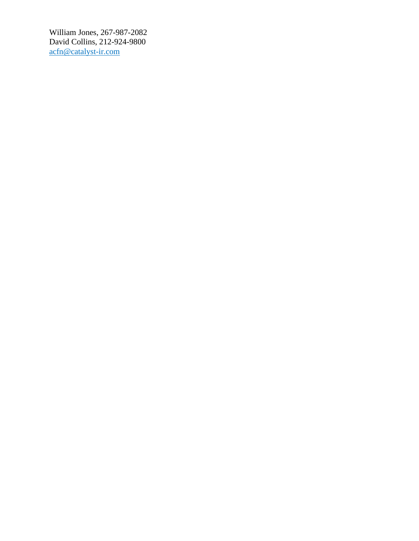William Jones, 267-987-2082 David Collins, 212-924-9800 [acfn@catalyst-ir.com](mailto:acfn@catalyst-ir.com)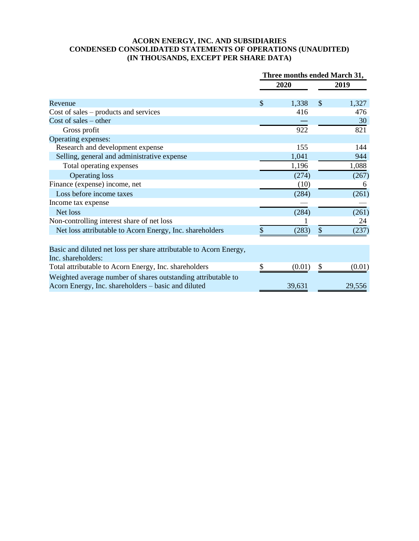### **ACORN ENERGY, INC. AND SUBSIDIARIES CONDENSED CONSOLIDATED STATEMENTS OF OPERATIONS (UNAUDITED) (IN THOUSANDS, EXCEPT PER SHARE DATA)**

|                                                                                                                      | Three months ended March 31, |        |               |        |
|----------------------------------------------------------------------------------------------------------------------|------------------------------|--------|---------------|--------|
|                                                                                                                      | 2020                         |        | 2019          |        |
| Revenue                                                                                                              | \$                           | 1,338  | $\mathcal{S}$ | 1,327  |
| Cost of sales $-$ products and services                                                                              |                              | 416    |               | 476    |
| Cost of sales $-$ other                                                                                              |                              |        |               | 30     |
| Gross profit                                                                                                         |                              | 922    |               | 821    |
| Operating expenses:                                                                                                  |                              |        |               |        |
| Research and development expense                                                                                     |                              | 155    |               | 144    |
| Selling, general and administrative expense                                                                          |                              | 1,041  |               | 944    |
| Total operating expenses                                                                                             |                              | 1,196  |               | 1,088  |
| <b>Operating loss</b>                                                                                                |                              | (274)  |               | (267)  |
| Finance (expense) income, net                                                                                        |                              | (10)   |               | 6      |
| Loss before income taxes                                                                                             |                              | (284)  |               | (261)  |
| Income tax expense                                                                                                   |                              |        |               |        |
| Net loss                                                                                                             |                              | (284)  |               | (261)  |
| Non-controlling interest share of net loss                                                                           |                              |        |               | 24     |
| Net loss attributable to Acorn Energy, Inc. shareholders                                                             | \$                           | (283)  | $\mathbb{S}$  | (237)  |
|                                                                                                                      |                              |        |               |        |
| Basic and diluted net loss per share attributable to Acorn Energy,                                                   |                              |        |               |        |
| Inc. shareholders:                                                                                                   |                              |        |               |        |
| Total attributable to Acorn Energy, Inc. shareholders                                                                | \$                           | (0.01) | \$            | (0.01) |
| Weighted average number of shares outstanding attributable to<br>Acorn Energy, Inc. shareholders - basic and diluted |                              | 39,631 |               | 29,556 |
|                                                                                                                      |                              |        |               |        |